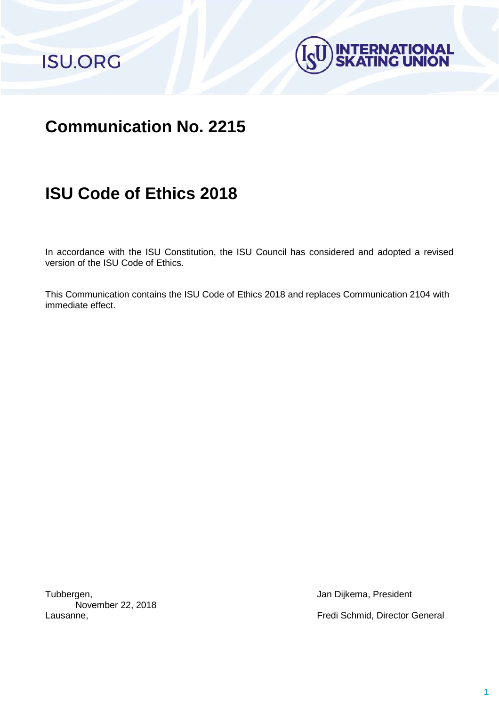



## **Communication No. 2215**

# **ISU Code of Ethics 2018**

In accordance with the ISU Constitution, the ISU Council has considered and adopted a revised version of the ISU Code of Ethics.

This Communication contains the ISU Code of Ethics 2018 and replaces Communication 2104 with immediate effect.

Tubbergen, **Jan Dijkema, President** November 22, 2018

Lausanne, Fredi Schmid, Director General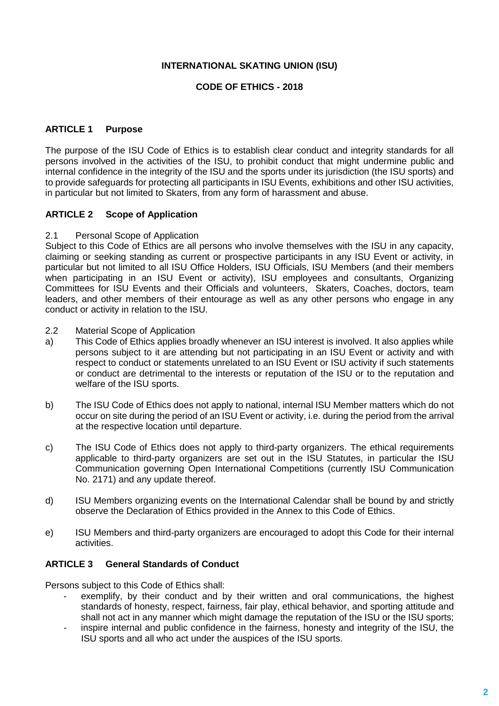## **INTERNATIONAL SKATING UNION (ISU)**

## **CODE OF ETHICS - 2018**

## **ARTICLE 1 Purpose**

The purpose of the ISU Code of Ethics is to establish clear conduct and integrity standards for all persons involved in the activities of the ISU, to prohibit conduct that might undermine public and internal confidence in the integrity of the ISU and the sports under its jurisdiction (the ISU sports) and to provide safeguards for protecting all participants in ISU Events, exhibitions and other ISU activities, in particular but not limited to Skaters, from any form of harassment and abuse.

## **ARTICLE 2 Scope of Application**

## 2.1 Personal Scope of Application

Subject to this Code of Ethics are all persons who involve themselves with the ISU in any capacity, claiming or seeking standing as current or prospective participants in any ISU Event or activity, in particular but not limited to all ISU Office Holders, ISU Officials, ISU Members (and their members when participating in an ISU Event or activity), ISU employees and consultants, Organizing Committees for ISU Events and their Officials and volunteers, Skaters, Coaches, doctors, team leaders, and other members of their entourage as well as any other persons who engage in any conduct or activity in relation to the ISU.

- 2.2 Material Scope of Application
- a) This Code of Ethics applies broadly whenever an ISU interest is involved. It also applies while persons subject to it are attending but not participating in an ISU Event or activity and with respect to conduct or statements unrelated to an ISU Event or ISU activity if such statements or conduct are detrimental to the interests or reputation of the ISU or to the reputation and welfare of the ISU sports.
- b) The ISU Code of Ethics does not apply to national, internal ISU Member matters which do not occur on site during the period of an ISU Event or activity, i.e. during the period from the arrival at the respective location until departure.
- c) The ISU Code of Ethics does not apply to third-party organizers. The ethical requirements applicable to third-party organizers are set out in the ISU Statutes, in particular the ISU Communication governing Open International Competitions (currently ISU Communication No. 2171) and any update thereof.
- d) ISU Members organizing events on the International Calendar shall be bound by and strictly observe the Declaration of Ethics provided in the Annex to this Code of Ethics.
- e) ISU Members and third-party organizers are encouraged to adopt this Code for their internal activities.

## **ARTICLE 3 General Standards of Conduct**

Persons subject to this Code of Ethics shall:

- exemplify, by their conduct and by their written and oral communications, the highest standards of honesty, respect, fairness, fair play, ethical behavior, and sporting attitude and shall not act in any manner which might damage the reputation of the ISU or the ISU sports;
- inspire internal and public confidence in the fairness, honesty and integrity of the ISU, the ISU sports and all who act under the auspices of the ISU sports.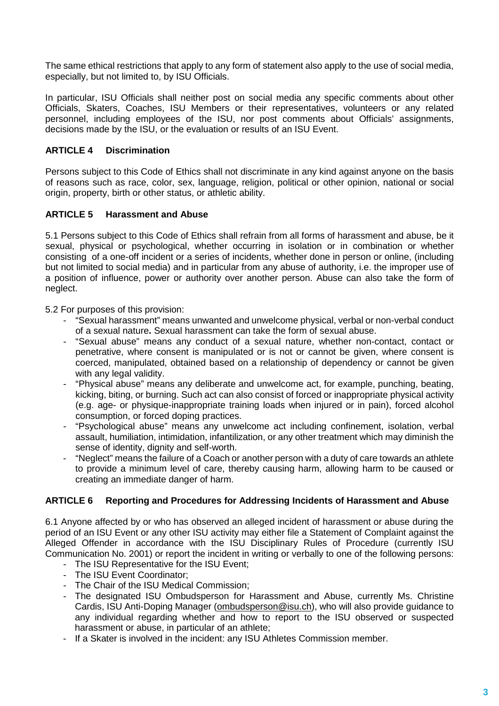The same ethical restrictions that apply to any form of statement also apply to the use of social media, especially, but not limited to, by ISU Officials.

In particular, ISU Officials shall neither post on social media any specific comments about other Officials, Skaters, Coaches, ISU Members or their representatives, volunteers or any related personnel, including employees of the ISU, nor post comments about Officials' assignments, decisions made by the ISU, or the evaluation or results of an ISU Event.

## **ARTICLE 4 Discrimination**

Persons subiect to this Code of Ethics shall not discriminate in any kind against anyone on the basis of reasons such as race, color, sex, language, religion, political or other opinion, national or social origin, property, birth or other status, or athletic ability.

## **ARTICLE 5 Harassment and Abuse**

5.1 Persons subject to this Code of Ethics shall refrain from all forms of harassment and abuse, be it sexual, physical or psychological, whether occurring in isolation or in combination or whether consisting of a one-off incident or a series of incidents, whether done in person or online, (including but not limited to social media) and in particular from any abuse of authority, i.e. the improper use of a position of influence, power or authority over another person. Abuse can also take the form of neglect.

5.2 For purposes of this provision:

- "Sexual harassment" means unwanted and unwelcome physical, verbal or non-verbal conduct of a sexual nature**.** Sexual harassment can take the form of sexual abuse.
- "Sexual abuse" means any conduct of a sexual nature, whether non-contact, contact or penetrative, where consent is manipulated or is not or cannot be given, where consent is coerced, manipulated, obtained based on a relationship of dependency or cannot be given with any legal validity.
- "Physical abuse" means any deliberate and unwelcome act, for example, punching, beating, kicking, biting, or burning. Such act can also consist of forced or inappropriate physical activity (e.g. age- or physique-inappropriate training loads when injured or in pain), forced alcohol consumption, or forced doping practices.
- "Psychological abuse" means any unwelcome act including confinement, isolation, verbal assault, humiliation, intimidation, infantilization, or any other treatment which may diminish the sense of identity, dignity and self-worth.
- "Neglect" means the failure of a Coach or another person with a duty of care towards an athlete to provide a minimum level of care, thereby causing harm, allowing harm to be caused or creating an immediate danger of harm.

## **ARTICLE 6 Reporting and Procedures for Addressing Incidents of Harassment and Abuse**

6.1 Anyone affected by or who has observed an alleged incident of harassment or abuse during the period of an ISU Event or any other ISU activity may either file a Statement of Complaint against the Alleged Offender in accordance with the ISU Disciplinary Rules of Procedure (currently ISU Communication No. 2001) or report the incident in writing or verbally to one of the following persons:

- The ISU Representative for the ISU Event;
- The ISU Event Coordinator;
- The Chair of the ISU Medical Commission;
- The designated ISU Ombudsperson for Harassment and Abuse, currently Ms. Christine Cardis, ISU Anti-Doping Manager [\(ombudsperson@isu.ch\)](mailto:ombudsperson@isu.ch), who will also provide guidance to any individual regarding whether and how to report to the ISU observed or suspected harassment or abuse, in particular of an athlete;
- If a Skater is involved in the incident: any ISU Athletes Commission member.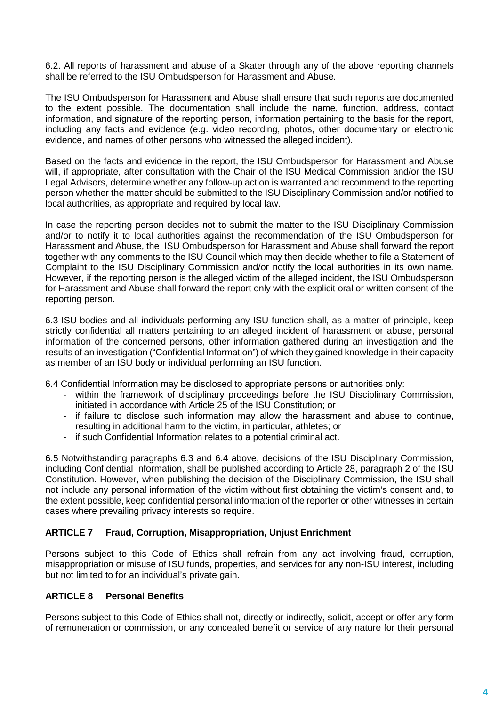6.2. All reports of harassment and abuse of a Skater through any of the above reporting channels shall be referred to the ISU Ombudsperson for Harassment and Abuse.

The ISU Ombudsperson for Harassment and Abuse shall ensure that such reports are documented to the extent possible. The documentation shall include the name, function, address, contact information, and signature of the reporting person, information pertaining to the basis for the report, including any facts and evidence (e.g. video recording, photos, other documentary or electronic evidence, and names of other persons who witnessed the alleged incident).

Based on the facts and evidence in the report, the ISU Ombudsperson for Harassment and Abuse will, if appropriate, after consultation with the Chair of the ISU Medical Commission and/or the ISU Legal Advisors, determine whether any follow-up action is warranted and recommend to the reporting person whether the matter should be submitted to the ISU Disciplinary Commission and/or notified to local authorities, as appropriate and required by local law.

In case the reporting person decides not to submit the matter to the ISU Disciplinary Commission and/or to notify it to local authorities against the recommendation of the ISU Ombudsperson for Harassment and Abuse, the ISU Ombudsperson for Harassment and Abuse shall forward the report together with any comments to the ISU Council which may then decide whether to file a Statement of Complaint to the ISU Disciplinary Commission and/or notify the local authorities in its own name. However, if the reporting person is the alleged victim of the alleged incident, the ISU Ombudsperson for Harassment and Abuse shall forward the report only with the explicit oral or written consent of the reporting person.

6.3 ISU bodies and all individuals performing any ISU function shall, as a matter of principle, keep strictly confidential all matters pertaining to an alleged incident of harassment or abuse, personal information of the concerned persons, other information gathered during an investigation and the results of an investigation ("Confidential Information") of which they gained knowledge in their capacity as member of an ISU body or individual performing an ISU function.

6.4 Confidential Information may be disclosed to appropriate persons or authorities only:

- within the framework of disciplinary proceedings before the ISU Disciplinary Commission, initiated in accordance with Article 25 of the ISU Constitution; or
- if failure to disclose such information may allow the harassment and abuse to continue, resulting in additional harm to the victim, in particular, athletes; or
- if such Confidential Information relates to a potential criminal act.

6.5 Notwithstanding paragraphs 6.3 and 6.4 above, decisions of the ISU Disciplinary Commission, including Confidential Information, shall be published according to Article 28, paragraph 2 of the ISU Constitution. However, when publishing the decision of the Disciplinary Commission, the ISU shall not include any personal information of the victim without first obtaining the victim's consent and, to the extent possible, keep confidential personal information of the reporter or other witnesses in certain cases where prevailing privacy interests so require.

## **ARTICLE 7 Fraud, Corruption, Misappropriation, Unjust Enrichment**

Persons subject to this Code of Ethics shall refrain from any act involving fraud, corruption, misappropriation or misuse of ISU funds, properties, and services for any non-ISU interest, including but not limited to for an individual's private gain.

## **ARTICLE 8 Personal Benefits**

Persons subject to this Code of Ethics shall not, directly or indirectly, solicit, accept or offer any form of remuneration or commission, or any concealed benefit or service of any nature for their personal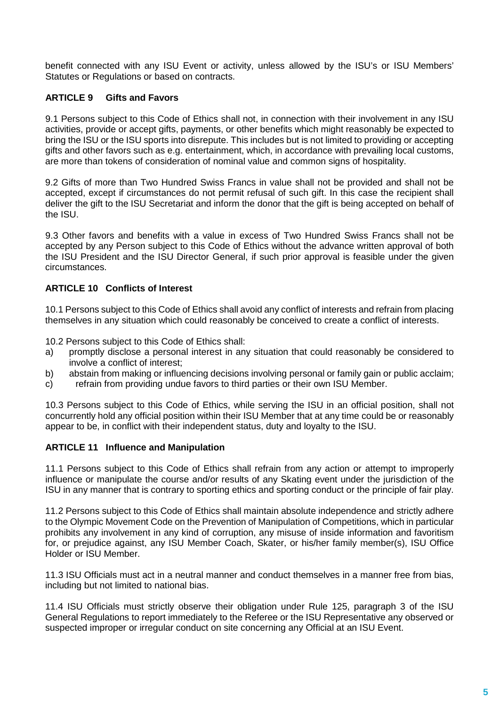benefit connected with any ISU Event or activity, unless allowed by the ISU's or ISU Members' Statutes or Regulations or based on contracts.

## **ARTICLE 9 Gifts and Favors**

9.1 Persons subject to this Code of Ethics shall not, in connection with their involvement in any ISU activities, provide or accept gifts, payments, or other benefits which might reasonably be expected to bring the ISU or the ISU sports into disrepute. This includes but is not limited to providing or accepting gifts and other favors such as e.g. entertainment, which, in accordance with prevailing local customs, are more than tokens of consideration of nominal value and common signs of hospitality.

9.2 Gifts of more than Two Hundred Swiss Francs in value shall not be provided and shall not be accepted, except if circumstances do not permit refusal of such gift. In this case the recipient shall deliver the gift to the ISU Secretariat and inform the donor that the gift is being accepted on behalf of the ISU.

9.3 Other favors and benefits with a value in excess of Two Hundred Swiss Francs shall not be accepted by any Person subject to this Code of Ethics without the advance written approval of both the ISU President and the ISU Director General, if such prior approval is feasible under the given circumstances.

## **ARTICLE 10 Conflicts of Interest**

10.1 Persons subject to this Code of Ethics shall avoid any conflict of interests and refrain from placing themselves in any situation which could reasonably be conceived to create a conflict of interests.

10.2 Persons subject to this Code of Ethics shall:

- a) promptly disclose a personal interest in any situation that could reasonably be considered to involve a conflict of interest;
- b) abstain from making or influencing decisions involving personal or family gain or public acclaim;
- c) refrain from providing undue favors to third parties or their own ISU Member.

10.3 Persons subject to this Code of Ethics, while serving the ISU in an official position, shall not concurrently hold any official position within their ISU Member that at any time could be or reasonably appear to be, in conflict with their independent status, duty and loyalty to the ISU.

## **ARTICLE 11 Influence and Manipulation**

11.1 Persons subject to this Code of Ethics shall refrain from any action or attempt to improperly influence or manipulate the course and/or results of any Skating event under the jurisdiction of the ISU in any manner that is contrary to sporting ethics and sporting conduct or the principle of fair play.

11.2 Persons subject to this Code of Ethics shall maintain absolute independence and strictly adhere to the Olympic Movement Code on the Prevention of Manipulation of Competitions, which in particular prohibits any involvement in any kind of corruption, any misuse of inside information and favoritism for, or prejudice against, any ISU Member Coach, Skater, or his/her family member(s), ISU Office Holder or ISU Member.

11.3 ISU Officials must act in a neutral manner and conduct themselves in a manner free from bias, including but not limited to national bias.

11.4 ISU Officials must strictly observe their obligation under Rule 125, paragraph 3 of the ISU General Regulations to report immediately to the Referee or the ISU Representative any observed or suspected improper or irregular conduct on site concerning any Official at an ISU Event.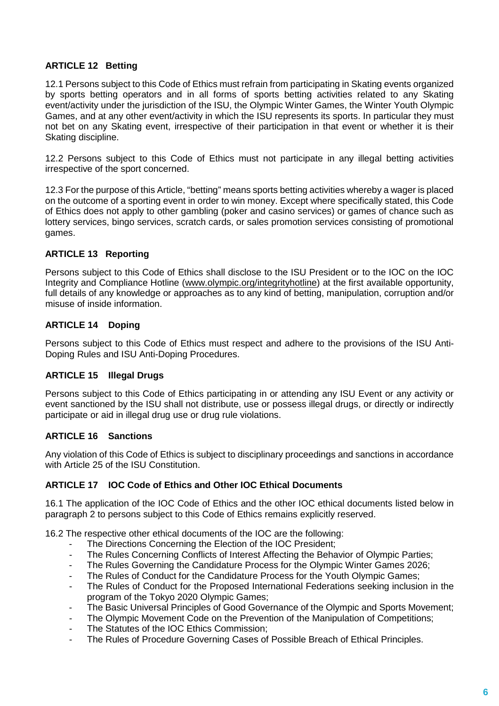## **ARTICLE 12 Betting**

12.1 Persons subject to this Code of Ethics must refrain from participating in Skating events organized by sports betting operators and in all forms of sports betting activities related to any Skating event/activity under the jurisdiction of the ISU, the Olympic Winter Games, the Winter Youth Olympic Games, and at any other event/activity in which the ISU represents its sports. In particular they must not bet on any Skating event, irrespective of their participation in that event or whether it is their Skating discipline.

12.2 Persons subject to this Code of Ethics must not participate in any illegal betting activities irrespective of the sport concerned.

12.3 For the purpose of this Article, "betting" means sports betting activities whereby a wager is placed on the outcome of a sporting event in order to win money. Except where specifically stated, this Code of Ethics does not apply to other gambling (poker and casino services) or games of chance such as lottery services, bingo services, scratch cards, or sales promotion services consisting of promotional games.

## **ARTICLE 13 Reporting**

Persons subject to this Code of Ethics shall disclose to the ISU President or to the IOC on the IOC Integrity and Compliance Hotline [\(www.olympic.org/integrityhotline\)](http://www.olympic.org/integrityhotline) at the first available opportunity, full details of any knowledge or approaches as to any kind of betting, manipulation, corruption and/or misuse of inside information.

## **ARTICLE 14 Doping**

Persons subject to this Code of Ethics must respect and adhere to the provisions of the ISU Anti-Doping Rules and ISU Anti-Doping Procedures.

## **ARTICLE 15 Illegal Drugs**

Persons subject to this Code of Ethics participating in or attending any ISU Event or any activity or event sanctioned by the ISU shall not distribute, use or possess illegal drugs, or directly or indirectly participate or aid in illegal drug use or drug rule violations.

## **ARTICLE 16 Sanctions**

Any violation of this Code of Ethics is subject to disciplinary proceedings and sanctions in accordance with Article 25 of the ISU Constitution.

## **ARTICLE 17 IOC Code of Ethics and Other IOC Ethical Documents**

16.1 The application of the IOC Code of Ethics and the other IOC ethical documents listed below in paragraph 2 to persons subject to this Code of Ethics remains explicitly reserved.

16.2 The respective other ethical documents of the IOC are the following:

- The Directions Concerning the Election of the IOC President;
- The Rules Concerning Conflicts of Interest Affecting the Behavior of Olympic Parties;
- The Rules Governing the Candidature Process for the Olympic Winter Games 2026;
- The Rules of Conduct for the Candidature Process for the Youth Olympic Games;
- The Rules of Conduct for the Proposed International Federations seeking inclusion in the program of the Tokyo 2020 Olympic Games;
- The Basic Universal Principles of Good Governance of the Olympic and Sports Movement;
- The Olympic Movement Code on the Prevention of the Manipulation of Competitions;
- The Statutes of the IOC Ethics Commission;
- The Rules of Procedure Governing Cases of Possible Breach of Ethical Principles.